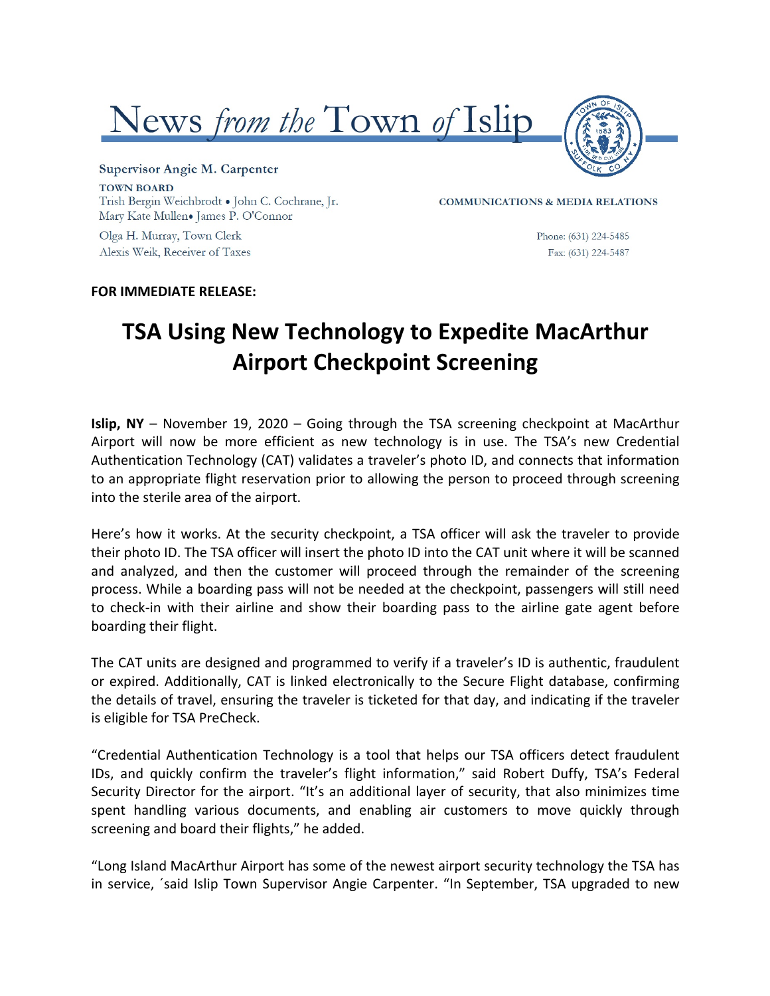



Supervisor Angie M. Carpenter **TOWN BOARD** Trish Bergin Weichbrodt . John C. Cochrane, Jr. Mary Kate Mullen. James P. O'Connor

Olga H. Murray, Town Clerk Alexis Weik, Receiver of Taxes **COMMUNICATIONS & MEDIA RELATIONS** 

Phone: (631) 224-5485 Fax: (631) 224-5487

## **FOR IMMEDIATE RELEASE:**

## **TSA Using New Technology to Expedite MacArthur Airport Checkpoint Screening**

**Islip, NY** – November 19, 2020 – Going through the TSA screening checkpoint at MacArthur Airport will now be more efficient as new technology is in use. The TSA's new Credential Authentication Technology (CAT) validates a traveler's photo ID, and connects that information to an appropriate flight reservation prior to allowing the person to proceed through screening into the sterile area of the airport.

Here's how it works. At the security checkpoint, a TSA officer will ask the traveler to provide their photo ID. The TSA officer will insert the photo ID into the CAT unit where it will be scanned and analyzed, and then the customer will proceed through the remainder of the screening process. While a boarding pass will not be needed at the checkpoint, passengers will still need to check-in with their airline and show their boarding pass to the airline gate agent before boarding their flight.

The CAT units are designed and programmed to verify if a traveler's ID is authentic, fraudulent or expired. Additionally, CAT is linked electronically to the Secure Flight database, confirming the details of travel, ensuring the traveler is ticketed for that day, and indicating if the traveler is eligible for TSA PreCheck.

"Credential Authentication Technology is a tool that helps our TSA officers detect fraudulent IDs, and quickly confirm the traveler's flight information," said Robert Duffy, TSA's Federal Security Director for the airport. "It's an additional layer of security, that also minimizes time spent handling various documents, and enabling air customers to move quickly through screening and board their flights," he added.

"Long Island MacArthur Airport has some of the newest airport security technology the TSA has in service, 'said Islip Town Supervisor Angie Carpenter. "In September, TSA upgraded to new